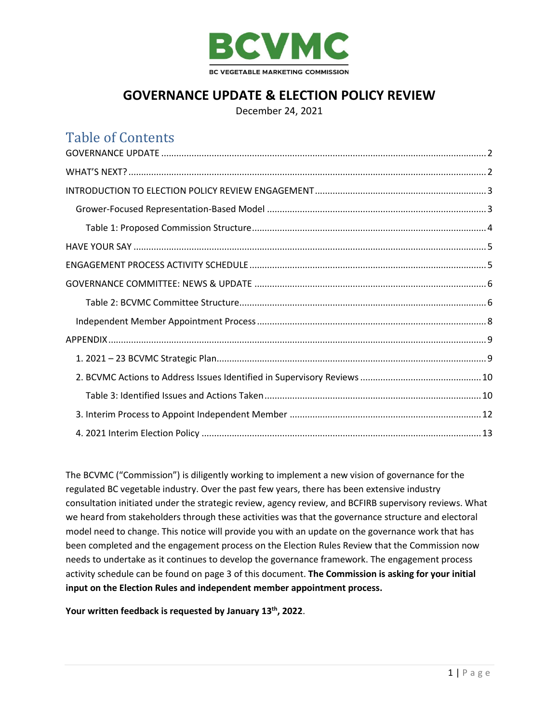

## **GOVERNANCE UPDATE & ELECTION POLICY REVIEW**

December 24, 2021

## Table of Contents

The BCVMC ("Commission") is diligently working to implement a new vision of governance for the regulated BC vegetable industry. Over the past few years, there has been extensive industry consultation initiated under the strategic review, agency review, and BCFIRB supervisory reviews. What we heard from stakeholders through these activities was that the governance structure and electoral model need to change. This notice will provide you with an update on the governance work that has been completed and the engagement process on the Election Rules Review that the Commission now needs to undertake as it continues to develop the governance framework. The engagement process activity schedule can be found on page 3 of this document. **The Commission is asking for your initial input on the Election Rules and independent member appointment process.**

**Your written feedback is requested by January 13th, 2022**.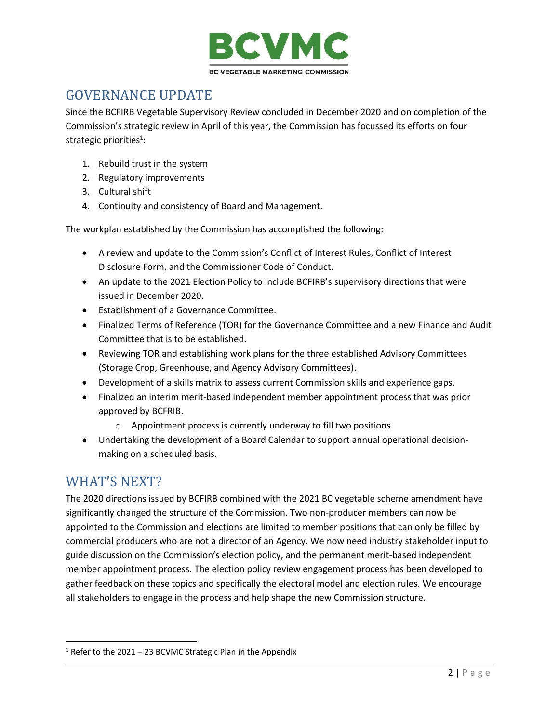

# <span id="page-1-0"></span>GOVERNANCE UPDATE

Since the BCFIRB Vegetable Supervisory Review concluded in December 2020 and on completion of the Commission's strategic review in April of this year, the Commission has focussed its efforts on four strategic priorities<sup>1</sup>:

- 1. Rebuild trust in the system
- 2. Regulatory improvements
- 3. Cultural shift
- 4. Continuity and consistency of Board and Management.

The workplan established by the Commission has accomplished the following:

- A review and update to the Commission's Conflict of Interest Rules, Conflict of Interest Disclosure Form, and the Commissioner Code of Conduct.
- An update to the 2021 Election Policy to include BCFIRB's supervisory directions that were issued in December 2020.
- Establishment of a Governance Committee.
- Finalized Terms of Reference (TOR) for the Governance Committee and a new Finance and Audit Committee that is to be established.
- Reviewing TOR and establishing work plans for the three established Advisory Committees (Storage Crop, Greenhouse, and Agency Advisory Committees).
- Development of a skills matrix to assess current Commission skills and experience gaps.
- Finalized an interim merit-based independent member appointment process that was prior approved by BCFRIB.
	- o Appointment process is currently underway to fill two positions.
- Undertaking the development of a Board Calendar to support annual operational decisionmaking on a scheduled basis.

## <span id="page-1-1"></span>WHAT'S NEXT?

The 2020 directions issued by BCFIRB combined with the 2021 BC vegetable scheme amendment have significantly changed the structure of the Commission. Two non-producer members can now be appointed to the Commission and elections are limited to member positions that can only be filled by commercial producers who are not a director of an Agency. We now need industry stakeholder input to guide discussion on the Commission's election policy, and the permanent merit-based independent member appointment process. The election policy review engagement process has been developed to gather feedback on these topics and specifically the electoral model and election rules. We encourage all stakeholders to engage in the process and help shape the new Commission structure.

 $1$  Refer to the 2021 – 23 BCVMC Strategic Plan in the Appendix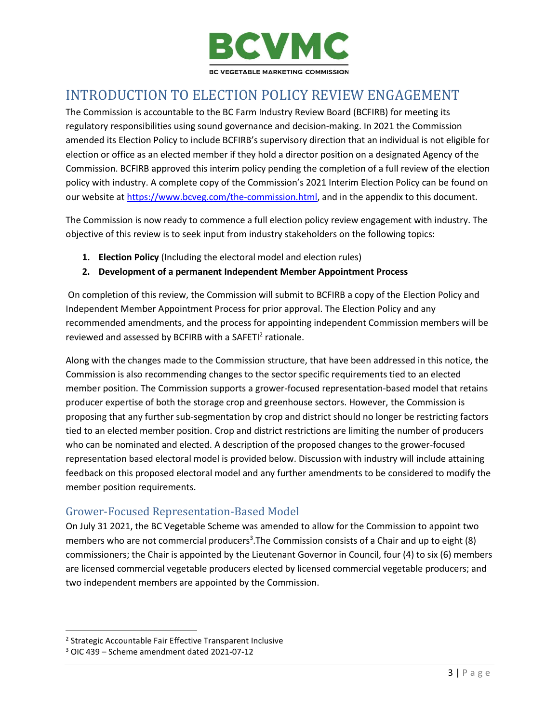

# <span id="page-2-0"></span>INTRODUCTION TO ELECTION POLICY REVIEW ENGAGEMENT

The Commission is accountable to the BC Farm Industry Review Board (BCFIRB) for meeting its regulatory responsibilities using sound governance and decision-making. In 2021 the Commission amended its Election Policy to include BCFIRB's supervisory direction that an individual is not eligible for election or office as an elected member if they hold a director position on a designated Agency of the Commission. BCFIRB approved this interim policy pending the completion of a full review of the election policy with industry. A complete copy of the Commission's 2021 Interim Election Policy can be found on our website at [https://www.bcveg.com/the-commission.html,](https://www.bcveg.com/the-commission.html) and in the appendix to this document.

The Commission is now ready to commence a full election policy review engagement with industry. The objective of this review is to seek input from industry stakeholders on the following topics:

- **1. Election Policy** (Including the electoral model and election rules)
- **2. Development of a permanent Independent Member Appointment Process**

On completion of this review, the Commission will submit to BCFIRB a copy of the Election Policy and Independent Member Appointment Process for prior approval. The Election Policy and any recommended amendments, and the process for appointing independent Commission members will be reviewed and assessed by BCFIRB with a SAFETI<sup>2</sup> rationale.

Along with the changes made to the Commission structure, that have been addressed in this notice, the Commission is also recommending changes to the sector specific requirements tied to an elected member position. The Commission supports a grower-focused representation-based model that retains producer expertise of both the storage crop and greenhouse sectors. However, the Commission is proposing that any further sub-segmentation by crop and district should no longer be restricting factors tied to an elected member position. Crop and district restrictions are limiting the number of producers who can be nominated and elected. A description of the proposed changes to the grower-focused representation based electoral model is provided below. Discussion with industry will include attaining feedback on this proposed electoral model and any further amendments to be considered to modify the member position requirements.

### <span id="page-2-1"></span>Grower-Focused Representation-Based Model

On July 31 2021, the BC Vegetable Scheme was amended to allow for the Commission to appoint two members who are not commercial producers<sup>3</sup>. The Commission consists of a Chair and up to eight (8) commissioners; the Chair is appointed by the Lieutenant Governor in Council, four (4) to six (6) members are licensed commercial vegetable producers elected by licensed commercial vegetable producers; and two independent members are appointed by the Commission.

<sup>&</sup>lt;sup>2</sup> Strategic Accountable Fair Effective Transparent Inclusive

<sup>3</sup> OIC 439 – Scheme amendment dated 2021-07-12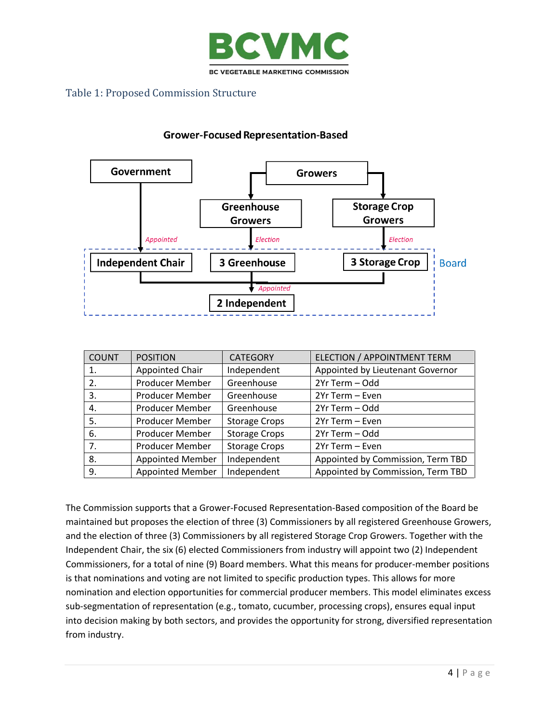

### <span id="page-3-0"></span>Table 1: Proposed Commission Structure

### **Grower-Focused Representation-Based**



| <b>COUNT</b> | <b>POSITION</b>         | <b>CATEGORY</b>      | ELECTION / APPOINTMENT TERM       |
|--------------|-------------------------|----------------------|-----------------------------------|
| 1.           | Appointed Chair         | Independent          | Appointed by Lieutenant Governor  |
| 2.           | Producer Member         | Greenhouse           | 2Yr Term - Odd                    |
| 3.           | Producer Member         | Greenhouse           | 2Yr Term - Even                   |
| 4.           | Producer Member         | Greenhouse           | 2Yr Term - Odd                    |
| 5.           | Producer Member         | <b>Storage Crops</b> | 2Yr Term - Even                   |
| 6.           | Producer Member         | <b>Storage Crops</b> | 2Yr Term - Odd                    |
| 7.           | Producer Member         | <b>Storage Crops</b> | 2Yr Term - Even                   |
| 8.           | <b>Appointed Member</b> | Independent          | Appointed by Commission, Term TBD |
| 9.           | <b>Appointed Member</b> | Independent          | Appointed by Commission, Term TBD |

The Commission supports that a Grower-Focused Representation-Based composition of the Board be maintained but proposes the election of three (3) Commissioners by all registered Greenhouse Growers, and the election of three (3) Commissioners by all registered Storage Crop Growers. Together with the Independent Chair, the six (6) elected Commissioners from industry will appoint two (2) Independent Commissioners, for a total of nine (9) Board members. What this means for producer-member positions is that nominations and voting are not limited to specific production types. This allows for more nomination and election opportunities for commercial producer members. This model eliminates excess sub-segmentation of representation (e.g., tomato, cucumber, processing crops), ensures equal input into decision making by both sectors, and provides the opportunity for strong, diversified representation from industry.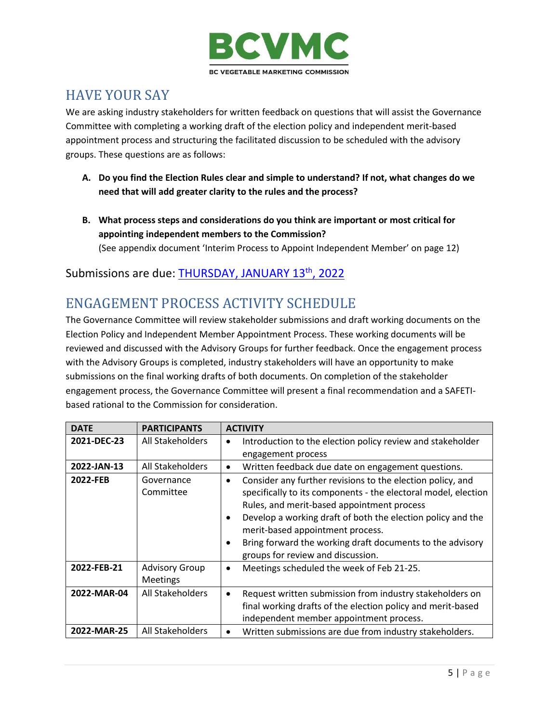

# <span id="page-4-0"></span>HAVE YOUR SAY

We are asking industry stakeholders for written feedback on questions that will assist the Governance Committee with completing a working draft of the election policy and independent merit-based appointment process and structuring the facilitated discussion to be scheduled with the advisory groups. These questions are as follows:

- **A. Do you find the Election Rules clear and simple to understand? If not, what changes do we need that will add greater clarity to the rules and the process?**
- **B. What process steps and considerations do you think are important or most critical for appointing independent members to the Commission?** (See appendix document 'Interim Process to Appoint Independent Member' on page 12)

### Submissions are due: THURSDAY, JANUARY 13<sup>th</sup>, 2022

## <span id="page-4-1"></span>ENGAGEMENT PROCESS ACTIVITY SCHEDULE

The Governance Committee will review stakeholder submissions and draft working documents on the Election Policy and Independent Member Appointment Process. These working documents will be reviewed and discussed with the Advisory Groups for further feedback. Once the engagement process with the Advisory Groups is completed, industry stakeholders will have an opportunity to make submissions on the final working drafts of both documents. On completion of the stakeholder engagement process, the Governance Committee will present a final recommendation and a SAFETIbased rational to the Commission for consideration.

| <b>DATE</b> | <b>PARTICIPANTS</b>                      | <b>ACTIVITY</b>                                                                                                                                                                                                                                                                                                                                                                                                        |
|-------------|------------------------------------------|------------------------------------------------------------------------------------------------------------------------------------------------------------------------------------------------------------------------------------------------------------------------------------------------------------------------------------------------------------------------------------------------------------------------|
| 2021-DEC-23 | All Stakeholders                         | Introduction to the election policy review and stakeholder<br>٠<br>engagement process                                                                                                                                                                                                                                                                                                                                  |
| 2022-JAN-13 | All Stakeholders                         | Written feedback due date on engagement questions.<br>$\bullet$                                                                                                                                                                                                                                                                                                                                                        |
| 2022-FEB    | Governance<br>Committee                  | Consider any further revisions to the election policy, and<br>$\bullet$<br>specifically to its components - the electoral model, election<br>Rules, and merit-based appointment process<br>Develop a working draft of both the election policy and the<br>$\bullet$<br>merit-based appointment process.<br>Bring forward the working draft documents to the advisory<br>$\bullet$<br>groups for review and discussion. |
| 2022-FEB-21 | <b>Advisory Group</b><br><b>Meetings</b> | Meetings scheduled the week of Feb 21-25.<br>$\bullet$                                                                                                                                                                                                                                                                                                                                                                 |
| 2022-MAR-04 | All Stakeholders                         | Request written submission from industry stakeholders on<br>$\bullet$<br>final working drafts of the election policy and merit-based<br>independent member appointment process.                                                                                                                                                                                                                                        |
| 2022-MAR-25 | All Stakeholders                         | Written submissions are due from industry stakeholders.<br>٠                                                                                                                                                                                                                                                                                                                                                           |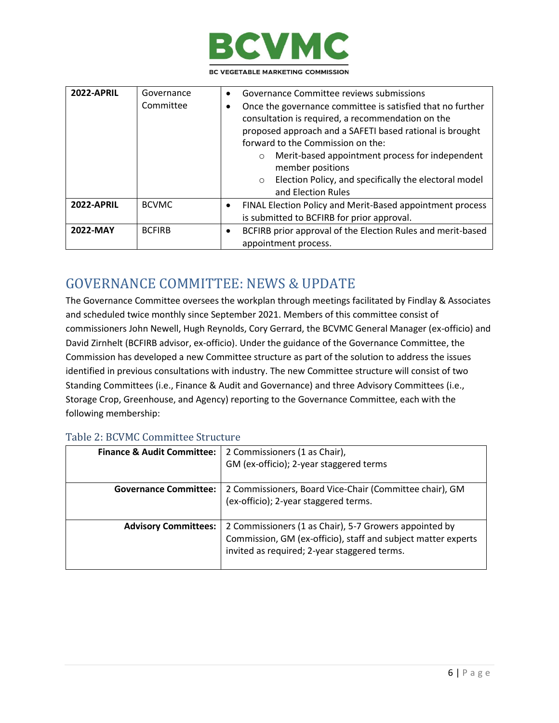

BC VEGETABLE MARKETING COMMISSION

| <b>2022-APRIL</b> | Governance<br>Committee | Governance Committee reviews submissions<br>$\bullet$<br>Once the governance committee is satisfied that no further<br>$\bullet$<br>consultation is required, a recommendation on the<br>proposed approach and a SAFETI based rational is brought<br>forward to the Commission on the:<br>Merit-based appointment process for independent<br>$\circ$<br>member positions<br>Election Policy, and specifically the electoral model<br>$\circ$<br>and Election Rules |
|-------------------|-------------------------|--------------------------------------------------------------------------------------------------------------------------------------------------------------------------------------------------------------------------------------------------------------------------------------------------------------------------------------------------------------------------------------------------------------------------------------------------------------------|
| <b>2022-APRIL</b> | <b>BCVMC</b>            | FINAL Election Policy and Merit-Based appointment process<br>$\bullet$<br>is submitted to BCFIRB for prior approval.                                                                                                                                                                                                                                                                                                                                               |
| 2022-MAY          | <b>BCFIRB</b>           | BCFIRB prior approval of the Election Rules and merit-based<br>$\bullet$<br>appointment process.                                                                                                                                                                                                                                                                                                                                                                   |

## <span id="page-5-0"></span>GOVERNANCE COMMITTEE: NEWS & UPDATE

The Governance Committee oversees the workplan through meetings facilitated by Findlay & Associates and scheduled twice monthly since September 2021. Members of this committee consist of commissioners John Newell, Hugh Reynolds, Cory Gerrard, the BCVMC General Manager (ex-officio) and David Zirnhelt (BCFIRB advisor, ex-officio). Under the guidance of the Governance Committee, the Commission has developed a new Committee structure as part of the solution to address the issues identified in previous consultations with industry. The new Committee structure will consist of two Standing Committees (i.e., Finance & Audit and Governance) and three Advisory Committees (i.e., Storage Crop, Greenhouse, and Agency) reporting to the Governance Committee, each with the following membership:

#### <span id="page-5-1"></span>Table 2: BCVMC Committee Structure

| <b>Finance &amp; Audit Committee:</b> | 2 Commissioners (1 as Chair),<br>GM (ex-officio); 2-year staggered terms                                                                                                |
|---------------------------------------|-------------------------------------------------------------------------------------------------------------------------------------------------------------------------|
| <b>Governance Committee:</b>          | 2 Commissioners, Board Vice-Chair (Committee chair), GM<br>(ex-officio); 2-year staggered terms.                                                                        |
| <b>Advisory Committees:</b>           | 2 Commissioners (1 as Chair), 5-7 Growers appointed by<br>Commission, GM (ex-officio), staff and subject matter experts<br>invited as required; 2-year staggered terms. |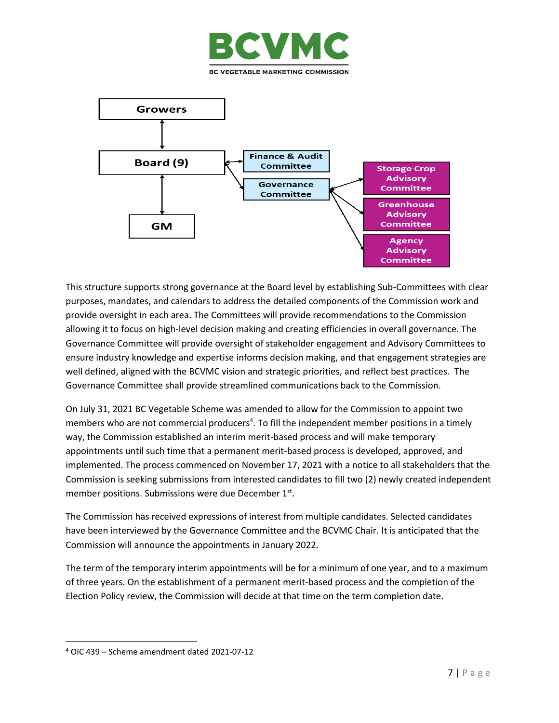



This structure supports strong governance at the Board level by establishing Sub-Committees with clear purposes, mandates, and calendars to address the detailed components of the Commission work and provide oversight in each area. The Committees will provide recommendations to the Commission allowing it to focus on high-level decision making and creating efficiencies in overall governance. The Governance Committee will provide oversight of stakeholder engagement and Advisory Committees to ensure industry knowledge and expertise informs decision making, and that engagement strategies are well defined, aligned with the BCVMC vision and strategic priorities, and reflect best practices. The Governance Committee shall provide streamlined communications back to the Commission.

On July 31, 2021 BC Vegetable Scheme was amended to allow for the Commission to appoint two members who are not commercial producers<sup>4</sup>. To fill the independent member positions in a timely way, the Commission established an interim merit-based process and will make temporary appointments until such time that a permanent merit-based process is developed, approved, and implemented. The process commenced on November 17, 2021 with a notice to all stakeholders that the Commission is seeking submissions from interested candidates to fill two (2) newly created independent member positions. Submissions were due December 1st.

The Commission has received expressions of interest from multiple candidates. Selected candidates have been interviewed by the Governance Committee and the BCVMC Chair. It is anticipated that the Commission will announce the appointments in January 2022.

The term of the temporary interim appointments will be for a minimum of one year, and to a maximum of three years. On the establishment of a permanent merit-based process and the completion of the Election Policy review, the Commission will decide at that time on the term completion date.

<sup>4</sup> OIC 439 – Scheme amendment dated 2021-07-12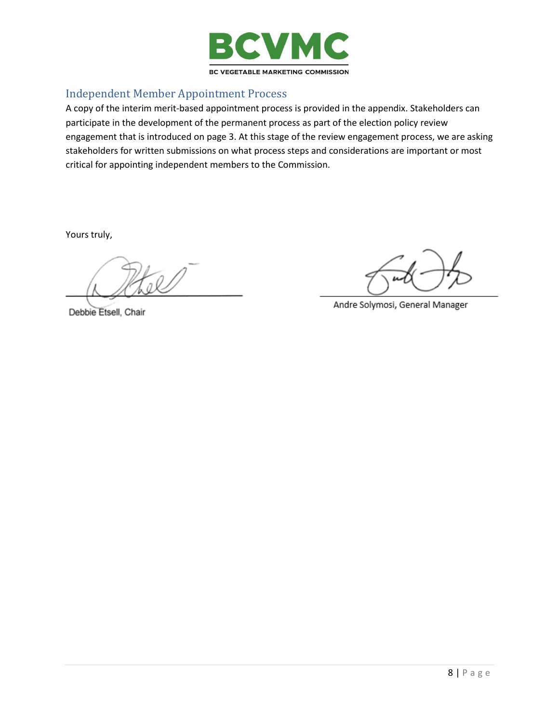

### <span id="page-7-0"></span>Independent Member Appointment Process

A copy of the interim merit-based appointment process is provided in the appendix. Stakeholders can participate in the development of the permanent process as part of the election policy review engagement that is introduced on page 3. At this stage of the review engagement process, we are asking stakeholders for written submissions on what process steps and considerations are important or most critical for appointing independent members to the Commission.

Yours truly,

Debbie Etsell, Chair

Andre Solymosi, General Manager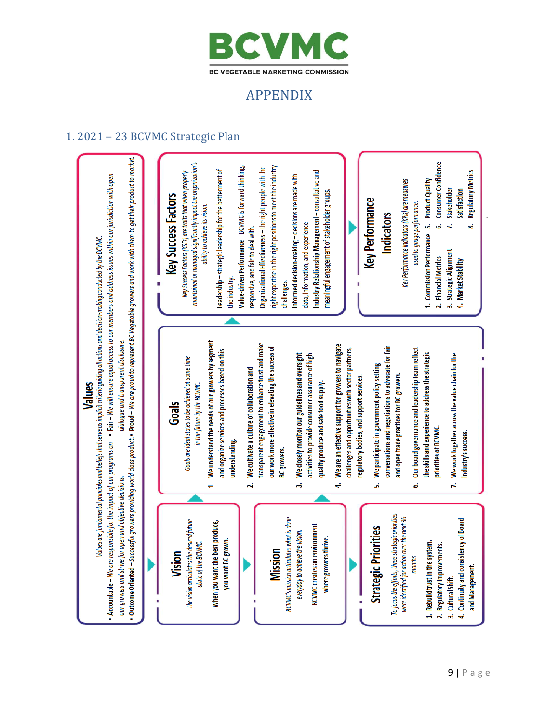

# APPENDIX

### <span id="page-8-1"></span><span id="page-8-0"></span>1. 2021 – 23 BCVMC Strategic Plan

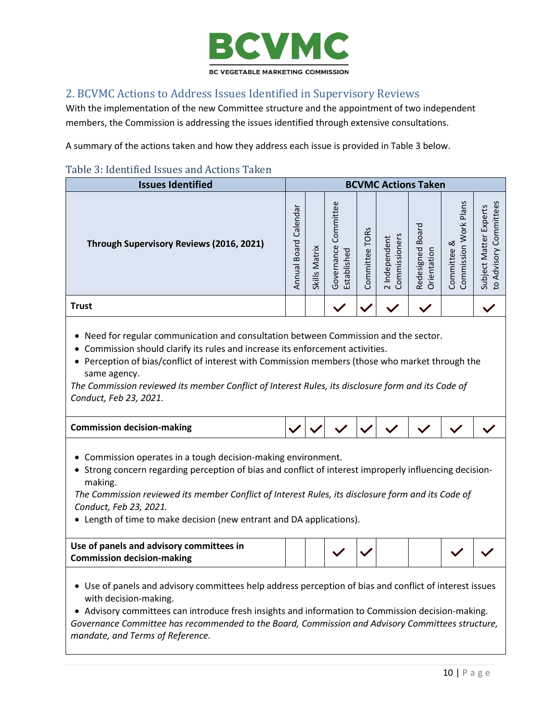

### <span id="page-9-0"></span>2. BCVMC Actions to Address Issues Identified in Supervisory Reviews

With the implementation of the new Committee structure and the appointment of two independent members, the Commission is addressing the issues identified through extensive consultations.

A summary of the actions taken and how they address each issue is provided in Table 3 below.

#### <span id="page-9-1"></span>Table 3: Identified Issues and Actions Taken

| <b>Issues Identified</b>                 | <b>BCVMC Actions Taken</b>                                     |                         |                                        |                        |                                        |                                           |                                                      |                                                                      |
|------------------------------------------|----------------------------------------------------------------|-------------------------|----------------------------------------|------------------------|----------------------------------------|-------------------------------------------|------------------------------------------------------|----------------------------------------------------------------------|
| Through Supervisory Reviews (2016, 2021) | ╰<br>nda<br>ale<br>$\cup$<br>짇<br><sub>co</sub><br>ه<br>Annual | Matrix<br><b>Skills</b> | Committee<br>Governance<br>Established | S<br>TOR:<br>Committee | Commissioners<br>Independent<br>$\sim$ | <b>Board</b><br>Redesigned<br>Orientation | Plans<br><b>Work</b><br>య<br>Commission<br>Committee | n<br>Committee<br>xper<br>ш<br>Matter<br>ζ<br>Adviso<br>Subject<br>요 |
| <b>Trust</b>                             |                                                                |                         |                                        |                        |                                        |                                           |                                                      |                                                                      |

- Need for regular communication and consultation between Commission and the sector.
- Commission should clarify its rules and increase its enforcement activities.
- Perception of bias/conflict of interest with Commission members (those who market through the same agency.

*The Commission reviewed its member Conflict of Interest Rules, its disclosure form and its Code of Conduct, Feb 23, 2021.*

| <b>Commission decision-making</b> |  |  |  |  |
|-----------------------------------|--|--|--|--|
|                                   |  |  |  |  |

- Commission operates in a tough decision-making environment.
- Strong concern regarding perception of bias and conflict of interest improperly influencing decisionmaking.

*The Commission reviewed its member Conflict of Interest Rules, its disclosure form and its Code of Conduct, Feb 23, 2021.* 

• Length of time to make decision (new entrant and DA applications).

| Use of panels and advisory committees in |  |  |  |  |
|------------------------------------------|--|--|--|--|
| <b>Commission decision-making</b>        |  |  |  |  |

• Use of panels and advisory committees help address perception of bias and conflict of interest issues with decision-making.

• Advisory committees can introduce fresh insights and information to Commission decision-making. *Governance Committee has recommended to the Board, Commission and Advisory Committees structure, mandate, and Terms of Reference.*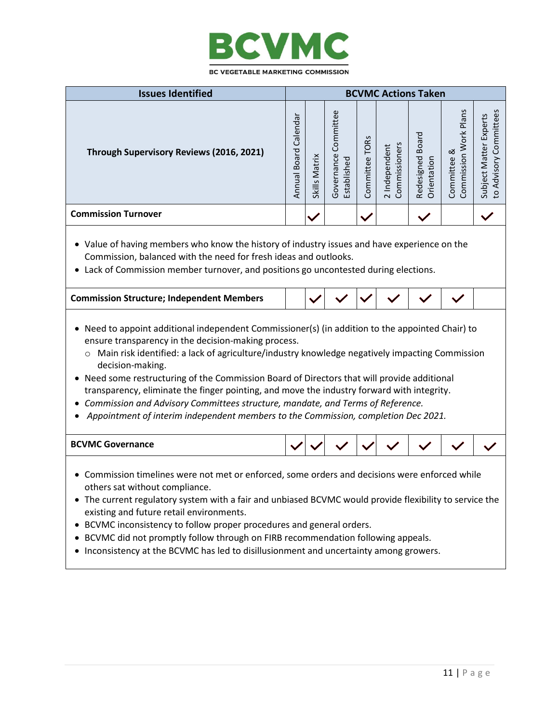

|                                                                                                                                                                                                                                                                                                                                                                                                                                                                                                                                                                                                                                                           | <b>Issues Identified</b><br><b>BCVMC Actions Taken</b> |               |                                     |                |                                |                                 |                                      |                                                  |  |
|-----------------------------------------------------------------------------------------------------------------------------------------------------------------------------------------------------------------------------------------------------------------------------------------------------------------------------------------------------------------------------------------------------------------------------------------------------------------------------------------------------------------------------------------------------------------------------------------------------------------------------------------------------------|--------------------------------------------------------|---------------|-------------------------------------|----------------|--------------------------------|---------------------------------|--------------------------------------|--------------------------------------------------|--|
|                                                                                                                                                                                                                                                                                                                                                                                                                                                                                                                                                                                                                                                           |                                                        |               |                                     |                |                                |                                 |                                      |                                                  |  |
| Through Supervisory Reviews (2016, 2021)                                                                                                                                                                                                                                                                                                                                                                                                                                                                                                                                                                                                                  | Annual Board Calendar                                  | Skills Matrix | Governance Committee<br>Established | Committee TORs | 2 Independent<br>Commissioners | Redesigned Board<br>Orientation | Commission Work Plans<br>Committee & | to Advisory Committees<br>Subject Matter Experts |  |
| <b>Commission Turnover</b>                                                                                                                                                                                                                                                                                                                                                                                                                                                                                                                                                                                                                                |                                                        |               |                                     |                |                                |                                 |                                      |                                                  |  |
| • Value of having members who know the history of industry issues and have experience on the<br>Commission, balanced with the need for fresh ideas and outlooks.<br>• Lack of Commission member turnover, and positions go uncontested during elections.                                                                                                                                                                                                                                                                                                                                                                                                  |                                                        |               |                                     |                |                                |                                 |                                      |                                                  |  |
| <b>Commission Structure; Independent Members</b>                                                                                                                                                                                                                                                                                                                                                                                                                                                                                                                                                                                                          |                                                        |               |                                     |                |                                |                                 |                                      |                                                  |  |
| Need to appoint additional independent Commissioner(s) (in addition to the appointed Chair) to<br>ensure transparency in the decision-making process.<br>Main risk identified: a lack of agriculture/industry knowledge negatively impacting Commission<br>$\circ$<br>decision-making.<br>Need some restructuring of the Commission Board of Directors that will provide additional<br>transparency, eliminate the finger pointing, and move the industry forward with integrity.<br>Commission and Advisory Committees structure, mandate, and Terms of Reference.<br>Appointment of interim independent members to the Commission, completion Dec 2021. |                                                        |               |                                     |                |                                |                                 |                                      |                                                  |  |
| <b>BCVMC Governance</b>                                                                                                                                                                                                                                                                                                                                                                                                                                                                                                                                                                                                                                   |                                                        |               |                                     |                |                                |                                 |                                      |                                                  |  |
| Commission timelines were not met or enforced, some orders and decisions were enforced while<br>others sat without compliance.<br>The current regulatory system with a fair and unbiased BCVMC would provide flexibility to service the<br>existing and future retail environments.<br>BCVMC inconsistency to follow proper procedures and general orders.<br>BCVMC did not promptly follow through on FIRB recommendation following appeals.<br>Inconsistency at the BCVMC has led to disillusionment and uncertainty among growers.                                                                                                                     |                                                        |               |                                     |                |                                |                                 |                                      |                                                  |  |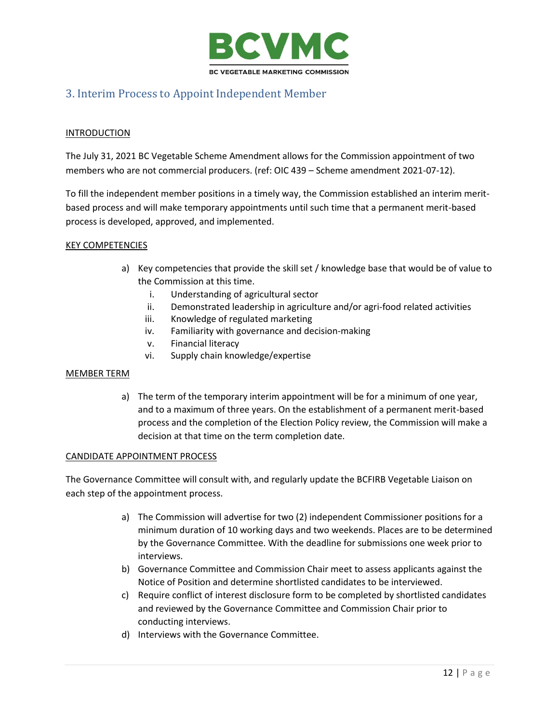

### <span id="page-11-0"></span>3. Interim Process to Appoint Independent Member

#### **INTRODUCTION**

The July 31, 2021 BC Vegetable Scheme Amendment allows for the Commission appointment of two members who are not commercial producers. (ref: OIC 439 – Scheme amendment 2021-07-12).

To fill the independent member positions in a timely way, the Commission established an interim meritbased process and will make temporary appointments until such time that a permanent merit-based process is developed, approved, and implemented.

#### KEY COMPETENCIES

- a) Key competencies that provide the skill set / knowledge base that would be of value to the Commission at this time.
	- i. Understanding of agricultural sector
	- ii. Demonstrated leadership in agriculture and/or agri-food related activities
	- iii. Knowledge of regulated marketing
	- iv. Familiarity with governance and decision-making
	- v. Financial literacy
	- vi. Supply chain knowledge/expertise

#### MEMBER TERM

a) The term of the temporary interim appointment will be for a minimum of one year, and to a maximum of three years. On the establishment of a permanent merit-based process and the completion of the Election Policy review, the Commission will make a decision at that time on the term completion date.

#### CANDIDATE APPOINTMENT PROCESS

The Governance Committee will consult with, and regularly update the BCFIRB Vegetable Liaison on each step of the appointment process.

- a) The Commission will advertise for two (2) independent Commissioner positions for a minimum duration of 10 working days and two weekends. Places are to be determined by the Governance Committee. With the deadline for submissions one week prior to interviews.
- b) Governance Committee and Commission Chair meet to assess applicants against the Notice of Position and determine shortlisted candidates to be interviewed.
- c) Require conflict of interest disclosure form to be completed by shortlisted candidates and reviewed by the Governance Committee and Commission Chair prior to conducting interviews.
- d) Interviews with the Governance Committee.